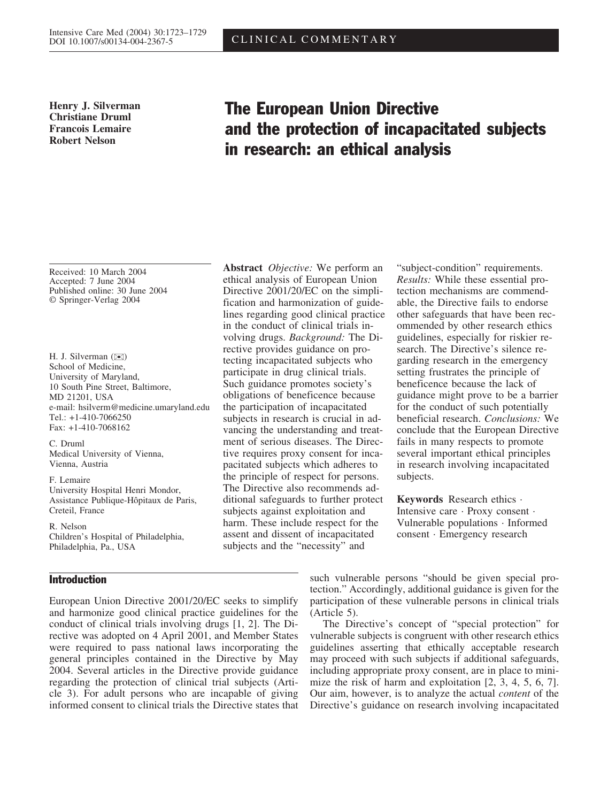Henry J. Silverman Christiane Druml Francois Lemaire Robert Nelson

# The European Union Directive and the protection of incapacitated subjects in research: an ethical analysis

Received: 10 March 2004 Accepted: 7 June 2004 Published online: 30 June 2004 Springer-Verlag 2004

H. J. Silverman ( $\otimes$ ) School of Medicine, University of Maryland, 10 South Pine Street, Baltimore, MD 21201, USA e-mail: hsilverm@medicine.umaryland.edu Tel.: +1-410-7066250 Fax: +1-410-7068162

C. Druml Medical University of Vienna, Vienna, Austria

F. Lemaire University Hospital Henri Mondor, Assistance Publique-Hôpitaux de Paris, Creteil, France

R. Nelson Children's Hospital of Philadelphia, Philadelphia, Pa., USA

## **Introduction**

European Union Directive 2001/20/EC seeks to simplify and harmonize good clinical practice guidelines for the conduct of clinical trials involving drugs [1, 2]. The Directive was adopted on 4 April 2001, and Member States were required to pass national laws incorporating the general principles contained in the Directive by May 2004. Several articles in the Directive provide guidance regarding the protection of clinical trial subjects (Article 3). For adult persons who are incapable of giving informed consent to clinical trials the Directive states that

Abstract Objective: We perform an ethical analysis of European Union Directive 2001/20/EC on the simplification and harmonization of guidelines regarding good clinical practice in the conduct of clinical trials involving drugs. Background: The Directive provides guidance on protecting incapacitated subjects who participate in drug clinical trials. Such guidance promotes society's obligations of beneficence because the participation of incapacitated subjects in research is crucial in advancing the understanding and treatment of serious diseases. The Directive requires proxy consent for incapacitated subjects which adheres to the principle of respect for persons. The Directive also recommends additional safeguards to further protect subjects against exploitation and harm. These include respect for the assent and dissent of incapacitated subjects and the "necessity" and

"subject-condition" requirements. Results: While these essential protection mechanisms are commendable, the Directive fails to endorse other safeguards that have been recommended by other research ethics guidelines, especially for riskier research. The Directive's silence regarding research in the emergency setting frustrates the principle of beneficence because the lack of guidance might prove to be a barrier for the conduct of such potentially beneficial research. Conclusions: We conclude that the European Directive fails in many respects to promote several important ethical principles in research involving incapacitated subjects.

Keywords Research ethics · Intensive care · Proxy consent · Vulnerable populations · Informed consent · Emergency research

such vulnerable persons "should be given special protection." Accordingly, additional guidance is given for the participation of these vulnerable persons in clinical trials (Article 5).

The Directive's concept of "special protection" for vulnerable subjects is congruent with other research ethics guidelines asserting that ethically acceptable research may proceed with such subjects if additional safeguards, including appropriate proxy consent, are in place to minimize the risk of harm and exploitation [2, 3, 4, 5, 6, 7]. Our aim, however, is to analyze the actual content of the Directive's guidance on research involving incapacitated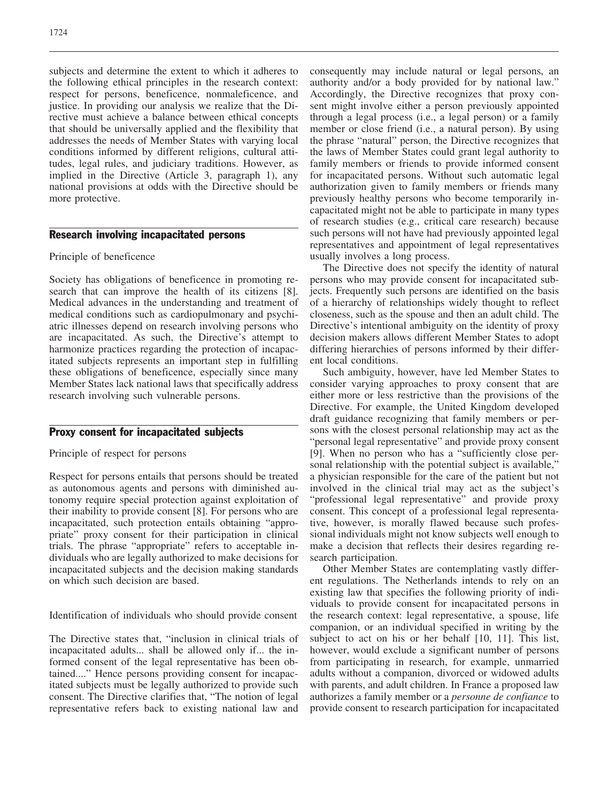subjects and determine the extent to which it adheres to the following ethical principles in the research context: respect for persons, beneficence, nonmaleficence, and justice. In providing our analysis we realize that the Directive must achieve a balance between ethical concepts that should be universally applied and the flexibility that addresses the needs of Member States with varying local conditions informed by different religions, cultural attitudes, legal rules, and judiciary traditions. However, as implied in the Directive (Article 3, paragraph 1), any national provisions at odds with the Directive should be more protective.

## Research involving incapacitated persons

Principle of beneficence

Society has obligations of beneficence in promoting research that can improve the health of its citizens [8]. Medical advances in the understanding and treatment of medical conditions such as cardiopulmonary and psychiatric illnesses depend on research involving persons who are incapacitated. As such, the Directive's attempt to harmonize practices regarding the protection of incapacitated subjects represents an important step in fulfilling these obligations of beneficence, especially since many Member States lack national laws that specifically address research involving such vulnerable persons.

# Proxy consent for incapacitated subjects

Principle of respect for persons

Respect for persons entails that persons should be treated as autonomous agents and persons with diminished autonomy require special protection against exploitation of their inability to provide consent [8]. For persons who are incapacitated, such protection entails obtaining "appropriate" proxy consent for their participation in clinical trials. The phrase "appropriate" refers to acceptable individuals who are legally authorized to make decisions for incapacitated subjects and the decision making standards on which such decision are based.

Identification of individuals who should provide consent

The Directive states that, "inclusion in clinical trials of incapacitated adults... shall be allowed only if... the informed consent of the legal representative has been obtained...." Hence persons providing consent for incapacitated subjects must be legally authorized to provide such consent. The Directive clarifies that, "The notion of legal representative refers back to existing national law and consequently may include natural or legal persons, an authority and/or a body provided for by national law." Accordingly, the Directive recognizes that proxy consent might involve either a person previously appointed through a legal process (i.e., a legal person) or a family member or close friend (i.e., a natural person). By using the phrase "natural" person, the Directive recognizes that the laws of Member States could grant legal authority to family members or friends to provide informed consent for incapacitated persons. Without such automatic legal authorization given to family members or friends many previously healthy persons who become temporarily incapacitated might not be able to participate in many types of research studies (e.g., critical care research) because such persons will not have had previously appointed legal representatives and appointment of legal representatives usually involves a long process.

The Directive does not specify the identity of natural persons who may provide consent for incapacitated subjects. Frequently such persons are identified on the basis of a hierarchy of relationships widely thought to reflect closeness, such as the spouse and then an adult child. The Directive's intentional ambiguity on the identity of proxy decision makers allows different Member States to adopt differing hierarchies of persons informed by their different local conditions.

Such ambiguity, however, have led Member States to consider varying approaches to proxy consent that are either more or less restrictive than the provisions of the Directive. For example, the United Kingdom developed draft guidance recognizing that family members or persons with the closest personal relationship may act as the "personal legal representative" and provide proxy consent [9]. When no person who has a "sufficiently close personal relationship with the potential subject is available," a physician responsible for the care of the patient but not involved in the clinical trial may act as the subject's "professional legal representative" and provide proxy consent. This concept of a professional legal representative, however, is morally flawed because such professional individuals might not know subjects well enough to make a decision that reflects their desires regarding research participation.

Other Member States are contemplating vastly different regulations. The Netherlands intends to rely on an existing law that specifies the following priority of individuals to provide consent for incapacitated persons in the research context: legal representative, a spouse, life companion, or an individual specified in writing by the subject to act on his or her behalf [10, 11]. This list, however, would exclude a significant number of persons from participating in research, for example, unmarried adults without a companion, divorced or widowed adults with parents, and adult children. In France a proposed law authorizes a family member or a personne de confiance to provide consent to research participation for incapacitated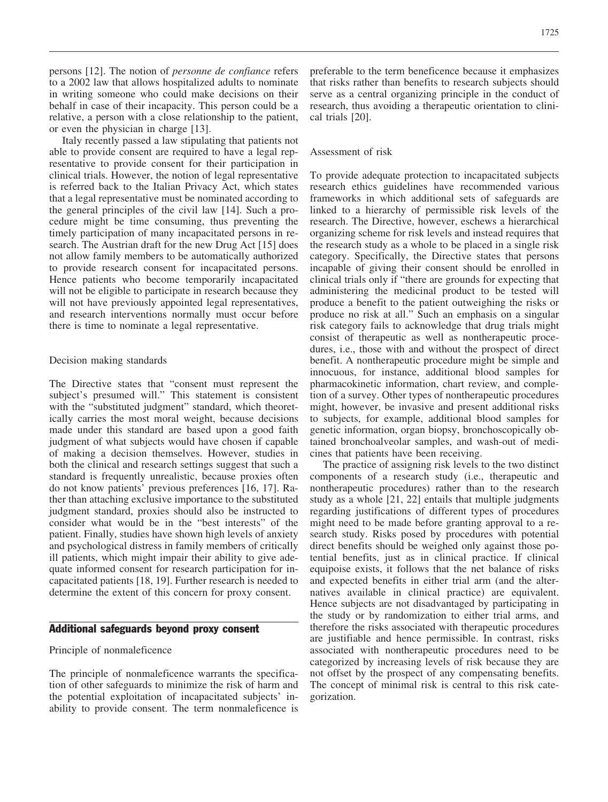persons [12]. The notion of personne de confiance refers to a 2002 law that allows hospitalized adults to nominate in writing someone who could make decisions on their behalf in case of their incapacity. This person could be a relative, a person with a close relationship to the patient, or even the physician in charge [13].

Italy recently passed a law stipulating that patients not able to provide consent are required to have a legal representative to provide consent for their participation in clinical trials. However, the notion of legal representative is referred back to the Italian Privacy Act, which states that a legal representative must be nominated according to the general principles of the civil law [14]. Such a procedure might be time consuming, thus preventing the timely participation of many incapacitated persons in research. The Austrian draft for the new Drug Act [15] does not allow family members to be automatically authorized to provide research consent for incapacitated persons. Hence patients who become temporarily incapacitated will not be eligible to participate in research because they will not have previously appointed legal representatives, and research interventions normally must occur before there is time to nominate a legal representative.

## Decision making standards

The Directive states that "consent must represent the subject's presumed will." This statement is consistent with the "substituted judgment" standard, which theoretically carries the most moral weight, because decisions made under this standard are based upon a good faith judgment of what subjects would have chosen if capable of making a decision themselves. However, studies in both the clinical and research settings suggest that such a standard is frequently unrealistic, because proxies often do not know patients' previous preferences [16, 17]. Rather than attaching exclusive importance to the substituted judgment standard, proxies should also be instructed to consider what would be in the "best interests" of the patient. Finally, studies have shown high levels of anxiety and psychological distress in family members of critically ill patients, which might impair their ability to give adequate informed consent for research participation for incapacitated patients [18, 19]. Further research is needed to determine the extent of this concern for proxy consent.

## Additional safeguards beyond proxy consent

## Principle of nonmaleficence

The principle of nonmaleficence warrants the specification of other safeguards to minimize the risk of harm and the potential exploitation of incapacitated subjects' inability to provide consent. The term nonmaleficence is preferable to the term beneficence because it emphasizes that risks rather than benefits to research subjects should serve as a central organizing principle in the conduct of research, thus avoiding a therapeutic orientation to clinical trials [20].

#### Assessment of risk

To provide adequate protection to incapacitated subjects research ethics guidelines have recommended various frameworks in which additional sets of safeguards are linked to a hierarchy of permissible risk levels of the research. The Directive, however, eschews a hierarchical organizing scheme for risk levels and instead requires that the research study as a whole to be placed in a single risk category. Specifically, the Directive states that persons incapable of giving their consent should be enrolled in clinical trials only if "there are grounds for expecting that administering the medicinal product to be tested will produce a benefit to the patient outweighing the risks or produce no risk at all." Such an emphasis on a singular risk category fails to acknowledge that drug trials might consist of therapeutic as well as nontherapeutic procedures, i.e., those with and without the prospect of direct benefit. A nontherapeutic procedure might be simple and innocuous, for instance, additional blood samples for pharmacokinetic information, chart review, and completion of a survey. Other types of nontherapeutic procedures might, however, be invasive and present additional risks to subjects, for example, additional blood samples for genetic information, organ biopsy, bronchoscopically obtained bronchoalveolar samples, and wash-out of medicines that patients have been receiving.

The practice of assigning risk levels to the two distinct components of a research study (i.e., therapeutic and nontherapeutic procedures) rather than to the research study as a whole [21, 22] entails that multiple judgments regarding justifications of different types of procedures might need to be made before granting approval to a research study. Risks posed by procedures with potential direct benefits should be weighed only against those potential benefits, just as in clinical practice. If clinical equipoise exists, it follows that the net balance of risks and expected benefits in either trial arm (and the alternatives available in clinical practice) are equivalent. Hence subjects are not disadvantaged by participating in the study or by randomization to either trial arms, and therefore the risks associated with therapeutic procedures are justifiable and hence permissible. In contrast, risks associated with nontherapeutic procedures need to be categorized by increasing levels of risk because they are not offset by the prospect of any compensating benefits. The concept of minimal risk is central to this risk categorization.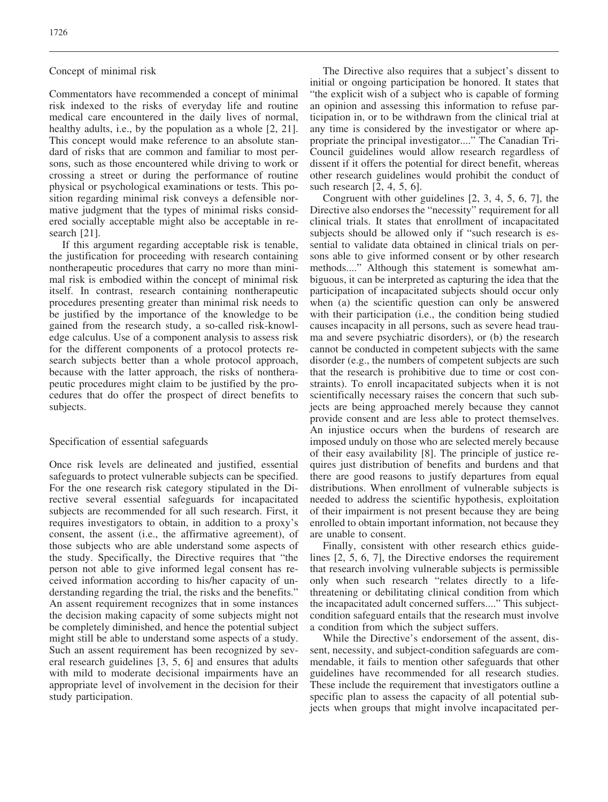## Concept of minimal risk

Commentators have recommended a concept of minimal risk indexed to the risks of everyday life and routine medical care encountered in the daily lives of normal, healthy adults, i.e., by the population as a whole [2, 21]. This concept would make reference to an absolute standard of risks that are common and familiar to most persons, such as those encountered while driving to work or crossing a street or during the performance of routine physical or psychological examinations or tests. This position regarding minimal risk conveys a defensible normative judgment that the types of minimal risks considered socially acceptable might also be acceptable in research [21].

If this argument regarding acceptable risk is tenable, the justification for proceeding with research containing nontherapeutic procedures that carry no more than minimal risk is embodied within the concept of minimal risk itself. In contrast, research containing nontherapeutic procedures presenting greater than minimal risk needs to be justified by the importance of the knowledge to be gained from the research study, a so-called risk-knowledge calculus. Use of a component analysis to assess risk for the different components of a protocol protects research subjects better than a whole protocol approach, because with the latter approach, the risks of nontherapeutic procedures might claim to be justified by the procedures that do offer the prospect of direct benefits to subjects.

## Specification of essential safeguards

Once risk levels are delineated and justified, essential safeguards to protect vulnerable subjects can be specified. For the one research risk category stipulated in the Directive several essential safeguards for incapacitated subjects are recommended for all such research. First, it requires investigators to obtain, in addition to a proxy's consent, the assent (i.e., the affirmative agreement), of those subjects who are able understand some aspects of the study. Specifically, the Directive requires that "the person not able to give informed legal consent has received information according to his/her capacity of understanding regarding the trial, the risks and the benefits." An assent requirement recognizes that in some instances the decision making capacity of some subjects might not be completely diminished, and hence the potential subject might still be able to understand some aspects of a study. Such an assent requirement has been recognized by several research guidelines [3, 5, 6] and ensures that adults with mild to moderate decisional impairments have an appropriate level of involvement in the decision for their study participation.

The Directive also requires that a subject's dissent to initial or ongoing participation be honored. It states that "the explicit wish of a subject who is capable of forming an opinion and assessing this information to refuse participation in, or to be withdrawn from the clinical trial at any time is considered by the investigator or where appropriate the principal investigator...." The Canadian Tri-Council guidelines would allow research regardless of dissent if it offers the potential for direct benefit, whereas other research guidelines would prohibit the conduct of such research [2, 4, 5, 6].

Congruent with other guidelines [2, 3, 4, 5, 6, 7], the Directive also endorses the "necessity" requirement for all clinical trials. It states that enrollment of incapacitated subjects should be allowed only if "such research is essential to validate data obtained in clinical trials on persons able to give informed consent or by other research methods...." Although this statement is somewhat ambiguous, it can be interpreted as capturing the idea that the participation of incapacitated subjects should occur only when (a) the scientific question can only be answered with their participation (i.e., the condition being studied causes incapacity in all persons, such as severe head trauma and severe psychiatric disorders), or (b) the research cannot be conducted in competent subjects with the same disorder (e.g., the numbers of competent subjects are such that the research is prohibitive due to time or cost constraints). To enroll incapacitated subjects when it is not scientifically necessary raises the concern that such subjects are being approached merely because they cannot provide consent and are less able to protect themselves. An injustice occurs when the burdens of research are imposed unduly on those who are selected merely because of their easy availability [8]. The principle of justice requires just distribution of benefits and burdens and that there are good reasons to justify departures from equal distributions. When enrollment of vulnerable subjects is needed to address the scientific hypothesis, exploitation of their impairment is not present because they are being enrolled to obtain important information, not because they are unable to consent.

Finally, consistent with other research ethics guidelines [2, 5, 6, 7], the Directive endorses the requirement that research involving vulnerable subjects is permissible only when such research "relates directly to a lifethreatening or debilitating clinical condition from which the incapacitated adult concerned suffers...." This subjectcondition safeguard entails that the research must involve a condition from which the subject suffers.

While the Directive's endorsement of the assent, dissent, necessity, and subject-condition safeguards are commendable, it fails to mention other safeguards that other guidelines have recommended for all research studies. These include the requirement that investigators outline a specific plan to assess the capacity of all potential subjects when groups that might involve incapacitated per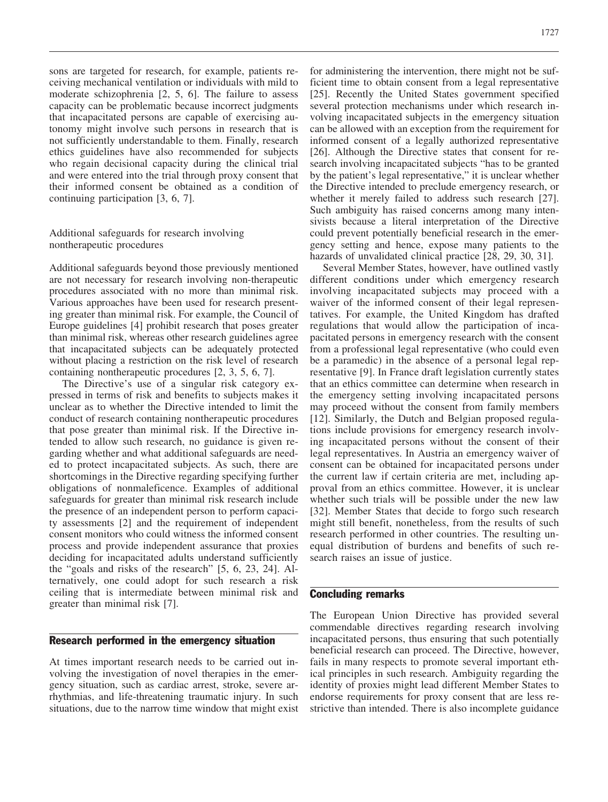sons are targeted for research, for example, patients receiving mechanical ventilation or individuals with mild to moderate schizophrenia [2, 5, 6]. The failure to assess capacity can be problematic because incorrect judgments that incapacitated persons are capable of exercising autonomy might involve such persons in research that is not sufficiently understandable to them. Finally, research ethics guidelines have also recommended for subjects who regain decisional capacity during the clinical trial and were entered into the trial through proxy consent that their informed consent be obtained as a condition of continuing participation [3, 6, 7].

## Additional safeguards for research involving nontherapeutic procedures

Additional safeguards beyond those previously mentioned are not necessary for research involving non-therapeutic procedures associated with no more than minimal risk. Various approaches have been used for research presenting greater than minimal risk. For example, the Council of Europe guidelines [4] prohibit research that poses greater than minimal risk, whereas other research guidelines agree that incapacitated subjects can be adequately protected without placing a restriction on the risk level of research containing nontherapeutic procedures [2, 3, 5, 6, 7].

The Directive's use of a singular risk category expressed in terms of risk and benefits to subjects makes it unclear as to whether the Directive intended to limit the conduct of research containing nontherapeutic procedures that pose greater than minimal risk. If the Directive intended to allow such research, no guidance is given regarding whether and what additional safeguards are needed to protect incapacitated subjects. As such, there are shortcomings in the Directive regarding specifying further obligations of nonmaleficence. Examples of additional safeguards for greater than minimal risk research include the presence of an independent person to perform capacity assessments [2] and the requirement of independent consent monitors who could witness the informed consent process and provide independent assurance that proxies deciding for incapacitated adults understand sufficiently the "goals and risks of the research" [5, 6, 23, 24]. Alternatively, one could adopt for such research a risk ceiling that is intermediate between minimal risk and greater than minimal risk [7].

## Research performed in the emergency situation

At times important research needs to be carried out involving the investigation of novel therapies in the emergency situation, such as cardiac arrest, stroke, severe arrhythmias, and life-threatening traumatic injury. In such situations, due to the narrow time window that might exist

for administering the intervention, there might not be sufficient time to obtain consent from a legal representative [25]. Recently the United States government specified several protection mechanisms under which research involving incapacitated subjects in the emergency situation can be allowed with an exception from the requirement for informed consent of a legally authorized representative [26]. Although the Directive states that consent for research involving incapacitated subjects "has to be granted by the patient's legal representative," it is unclear whether the Directive intended to preclude emergency research, or whether it merely failed to address such research [27]. Such ambiguity has raised concerns among many intensivists because a literal interpretation of the Directive could prevent potentially beneficial research in the emergency setting and hence, expose many patients to the hazards of unvalidated clinical practice [28, 29, 30, 31].

Several Member States, however, have outlined vastly different conditions under which emergency research involving incapacitated subjects may proceed with a waiver of the informed consent of their legal representatives. For example, the United Kingdom has drafted regulations that would allow the participation of incapacitated persons in emergency research with the consent from a professional legal representative (who could even be a paramedic) in the absence of a personal legal representative [9]. In France draft legislation currently states that an ethics committee can determine when research in the emergency setting involving incapacitated persons may proceed without the consent from family members [12]. Similarly, the Dutch and Belgian proposed regulations include provisions for emergency research involving incapacitated persons without the consent of their legal representatives. In Austria an emergency waiver of consent can be obtained for incapacitated persons under the current law if certain criteria are met, including approval from an ethics committee. However, it is unclear whether such trials will be possible under the new law [32]. Member States that decide to forgo such research might still benefit, nonetheless, from the results of such research performed in other countries. The resulting unequal distribution of burdens and benefits of such research raises an issue of justice.

## Concluding remarks

The European Union Directive has provided several commendable directives regarding research involving incapacitated persons, thus ensuring that such potentially beneficial research can proceed. The Directive, however, fails in many respects to promote several important ethical principles in such research. Ambiguity regarding the identity of proxies might lead different Member States to endorse requirements for proxy consent that are less restrictive than intended. There is also incomplete guidance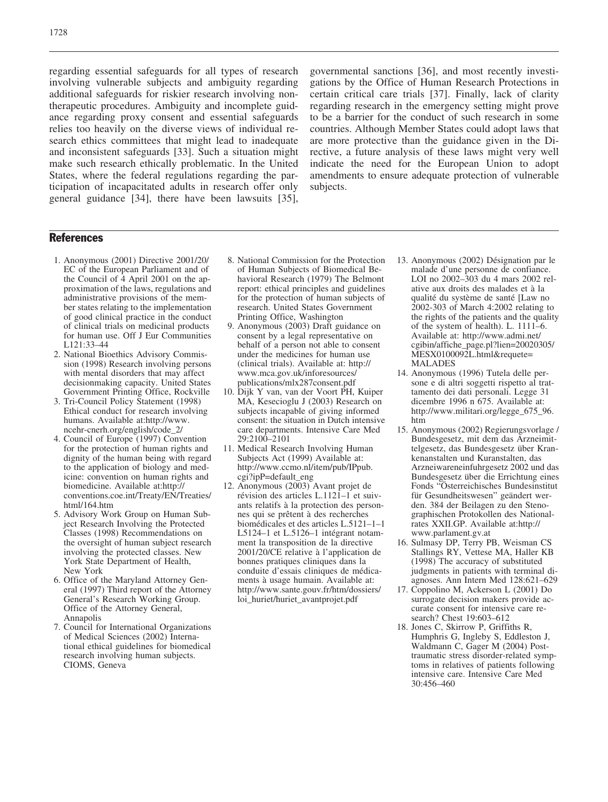regarding essential safeguards for all types of research involving vulnerable subjects and ambiguity regarding additional safeguards for riskier research involving nontherapeutic procedures. Ambiguity and incomplete guidance regarding proxy consent and essential safeguards relies too heavily on the diverse views of individual research ethics committees that might lead to inadequate and inconsistent safeguards [33]. Such a situation might make such research ethically problematic. In the United States, where the federal regulations regarding the participation of incapacitated adults in research offer only general guidance [34], there have been lawsuits [35],

governmental sanctions [36], and most recently investigations by the Office of Human Research Protections in certain critical care trials [37]. Finally, lack of clarity regarding research in the emergency setting might prove to be a barrier for the conduct of such research in some countries. Although Member States could adopt laws that are more protective than the guidance given in the Directive, a future analysis of these laws might very well indicate the need for the European Union to adopt amendments to ensure adequate protection of vulnerable subjects.

## References

- 1. Anonymous (2001) Directive 2001/20/ EC of the European Parliament and of the Council of 4 April 2001 on the approximation of the laws, regulations and administrative provisions of the member states relating to the implementation of good clinical practice in the conduct of clinical trials on medicinal products for human use. Off J Eur Communities L121:33–44
- 2. National Bioethics Advisory Commission (1998) Research involving persons with mental disorders that may affect decisionmaking capacity. United States Government Printing Office, Rockville
- 3. Tri-Council Policy Statement (1998) Ethical conduct for research involving humans. Available at:http://www. ncehr-cnerh.org/english/code\_2/
- 4. Council of Europe (1997) Convention for the protection of human rights and dignity of the human being with regard to the application of biology and medicine: convention on human rights and biomedicine. Available at:http:// conventions.coe.int/Treaty/EN/Treaties/ html/164.htm
- 5. Advisory Work Group on Human Subject Research Involving the Protected Classes (1998) Recommendations on the oversight of human subject research involving the protected classes. New York State Department of Health, New York
- 6. Office of the Maryland Attorney General (1997) Third report of the Attorney General's Research Working Group. Office of the Attorney General, Annapolis
- 7. Council for International Organizations of Medical Sciences (2002) International ethical guidelines for biomedical research involving human subjects. CIOMS, Geneva
- 8. National Commission for the Protection of Human Subjects of Biomedical Behavioral Research (1979) The Belmont report: ethical principles and guidelines for the protection of human subjects of research. United States Government Printing Office, Washington
- 9. Anonymous (2003) Draft guidance on consent by a legal representative on behalf of a person not able to consent under the medicines for human use (clinical trials). Available at: http:// www.mca.gov.uk/inforesources/ publications/mlx287consent.pdf
- 10. Dijk Y van, van der Voort PH, Kuiper MA, Kesecioglu J (2003) Research on subjects incapable of giving informed consent: the situation in Dutch intensive care departments. Intensive Care Med 29:2100–2101
- 11. Medical Research Involving Human Subjects Act (1999) Available at: http://www.ccmo.nl/item/pub/IPpub. cgi?ipP=default\_eng
- 12. Anonymous (2003) Avant projet de révision des articles L.1121–1 et suivants relatifs la protection des personnes qui se prêtent à des recherches biomédicales et des articles L.5121-1-1 L5124–1 et L.5126–1 intégrant notamment la transposition de la directive 2001/20/CE relative à l'application de bonnes pratiques cliniques dans la conduite d'essais cliniques de médicaments à usage humain. Available at: http://www.sante.gouv.fr/htm/dossiers/ loi\_huriet/huriet\_avantprojet.pdf
- 13. Anonymous (2002) Désignation par le malade d'une personne de confiance. LOI no 2002–303 du 4 mars 2002 relative aux droits des malades et à la qualité du système de santé [Law no 2002-303 of March 4:2002 relating to the rights of the patients and the quality of the system of health). L. 1111–6. Available at: http://www.admi.net/ cgibin/affiche\_page.pl?lien=20020305/ MESX0100092L.html&requete= MALADES
- 14. Anonymous (1996) Tutela delle persone e di altri soggetti rispetto al trattamento dei dati personali. Legge 31 dicembre 1996 n 675. Available at: http://www.militari.org/legge\_675\_96. htm
- 15. Anonymous (2002) Regierungsvorlage / Bundesgesetz, mit dem das Arzneimittelgesetz, das Bundesgesetz über Krankenanstalten und Kuranstalten, das Arzneiwareneinfuhrgesetz 2002 und das Bundesgesetz über die Errichtung eines Fonds "Österreichisches Bundesinstitut für Gesundheitswesen" geändert werden. 384 der Beilagen zu den Stenographischen Protokollen des Nationalrates XXII.GP. Available at:http:// www.parlament.gv.at
- 16. Sulmasy DP, Terry PB, Weisman CS Stallings RY, Vettese MA, Haller KB (1998) The accuracy of substituted judgments in patients with terminal diagnoses. Ann Intern Med 128:621–629
- 17. Coppolino M, Ackerson L (2001) Do surrogate decision makers provide accurate consent for intensive care research? Chest 19:603–612
- 18. Jones C, Skirrow P, Griffiths R, Humphris G, Ingleby S, Eddleston J, Waldmann C, Gager M (2004) Posttraumatic stress disorder-related symptoms in relatives of patients following intensive care. Intensive Care Med 30:456–460